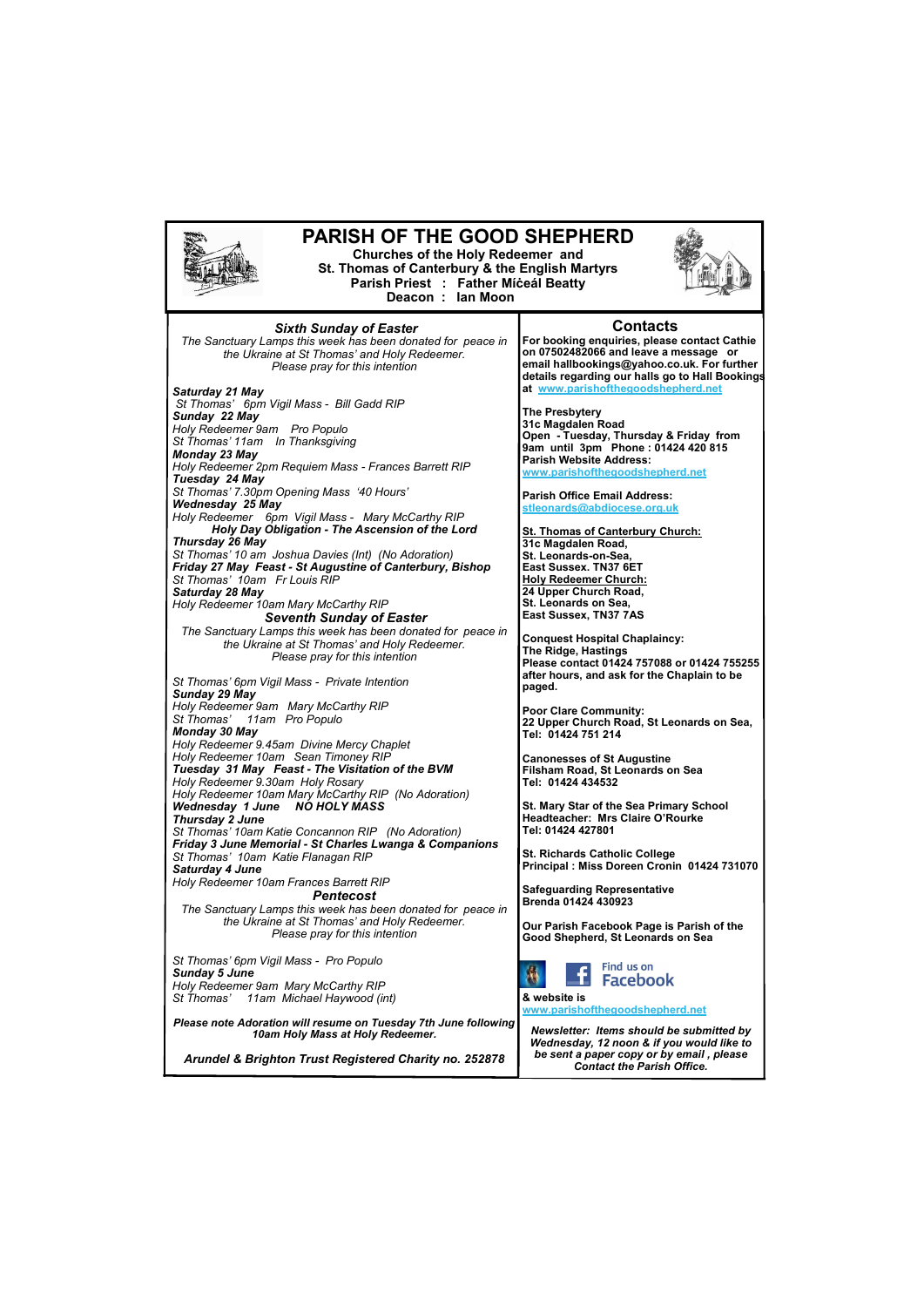

*St Thomas' 11am Michael Haywood (int)* 

*Please note Adoration will resume on Tuesday 7th June following 10am Holy Mass at Holy Redeemer.*

*Arundel & Brighton Trust Registered Charity no. 252878*

**& website is [www.parishofthegoodshepherd.net](mailto:www.parishofthegoodshepherd.net)**

*Newsletter: Items should be submitted by Wednesday, 12 noon & if you would like to be sent a paper copy or by email , please Contact the Parish Office.*